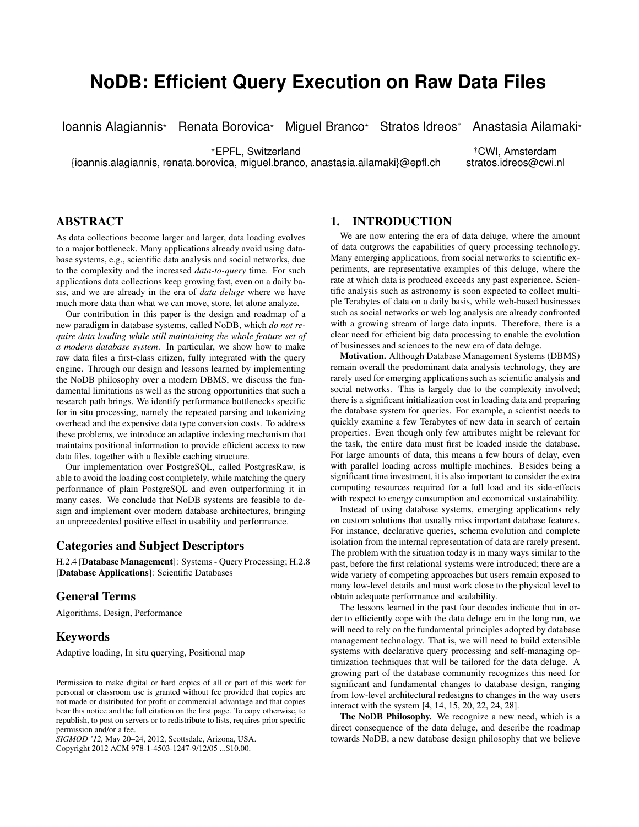# **NoDB: Efficient Query Execution on Raw Data Files**

Ioannis Alagiannis<sup>\*</sup> Renata Borovica<sup>\*</sup> Miguel Branco\* Stratos Idreos† Anastasia Ailamaki\*

\*EPFL, Switzerland

{ioannis.alagiannis, renata.borovica, miguel.branco, anastasia.ailamaki}@epfl.ch

†CWI, Amsterdam stratos.idreos@cwi.nl

# ABSTRACT

As data collections become larger and larger, data loading evolves to a major bottleneck. Many applications already avoid using database systems, e.g., scientific data analysis and social networks, due to the complexity and the increased *data-to-query* time. For such applications data collections keep growing fast, even on a daily basis, and we are already in the era of *data deluge* where we have much more data than what we can move, store, let alone analyze.

Our contribution in this paper is the design and roadmap of a new paradigm in database systems, called NoDB, which *do not require data loading while still maintaining the whole feature set of a modern database system*. In particular, we show how to make raw data files a first-class citizen, fully integrated with the query engine. Through our design and lessons learned by implementing the NoDB philosophy over a modern DBMS, we discuss the fundamental limitations as well as the strong opportunities that such a research path brings. We identify performance bottlenecks specific for in situ processing, namely the repeated parsing and tokenizing overhead and the expensive data type conversion costs. To address these problems, we introduce an adaptive indexing mechanism that maintains positional information to provide efficient access to raw data files, together with a flexible caching structure.

Our implementation over PostgreSQL, called PostgresRaw, is able to avoid the loading cost completely, while matching the query performance of plain PostgreSQL and even outperforming it in many cases. We conclude that NoDB systems are feasible to design and implement over modern database architectures, bringing an unprecedented positive effect in usability and performance.

## Categories and Subject Descriptors

H.2.4 [Database Management]: Systems - Query Processing; H.2.8 [Database Applications]: Scientific Databases

# General Terms

Algorithms, Design, Performance

# Keywords

Adaptive loading, In situ querying, Positional map

*SIGMOD '12,* May 20–24, 2012, Scottsdale, Arizona, USA.

Copyright 2012 ACM 978-1-4503-1247-9/12/05 ...\$10.00.

## 1. INTRODUCTION

We are now entering the era of data deluge, where the amount of data outgrows the capabilities of query processing technology. Many emerging applications, from social networks to scientific experiments, are representative examples of this deluge, where the rate at which data is produced exceeds any past experience. Scientific analysis such as astronomy is soon expected to collect multiple Terabytes of data on a daily basis, while web-based businesses such as social networks or web log analysis are already confronted with a growing stream of large data inputs. Therefore, there is a clear need for efficient big data processing to enable the evolution of businesses and sciences to the new era of data deluge.

Motivation. Although Database Management Systems (DBMS) remain overall the predominant data analysis technology, they are rarely used for emerging applications such as scientific analysis and social networks. This is largely due to the complexity involved; there is a significant initialization cost in loading data and preparing the database system for queries. For example, a scientist needs to quickly examine a few Terabytes of new data in search of certain properties. Even though only few attributes might be relevant for the task, the entire data must first be loaded inside the database. For large amounts of data, this means a few hours of delay, even with parallel loading across multiple machines. Besides being a significant time investment, it is also important to consider the extra computing resources required for a full load and its side-effects with respect to energy consumption and economical sustainability.

Instead of using database systems, emerging applications rely on custom solutions that usually miss important database features. For instance, declarative queries, schema evolution and complete isolation from the internal representation of data are rarely present. The problem with the situation today is in many ways similar to the past, before the first relational systems were introduced; there are a wide variety of competing approaches but users remain exposed to many low-level details and must work close to the physical level to obtain adequate performance and scalability.

The lessons learned in the past four decades indicate that in order to efficiently cope with the data deluge era in the long run, we will need to rely on the fundamental principles adopted by database management technology. That is, we will need to build extensible systems with declarative query processing and self-managing optimization techniques that will be tailored for the data deluge. A growing part of the database community recognizes this need for significant and fundamental changes to database design, ranging from low-level architectural redesigns to changes in the way users interact with the system [4, 14, 15, 20, 22, 24, 28].

The NoDB Philosophy. We recognize a new need, which is a direct consequence of the data deluge, and describe the roadmap towards NoDB, a new database design philosophy that we believe

Permission to make digital or hard copies of all or part of this work for personal or classroom use is granted without fee provided that copies are not made or distributed for profit or commercial advantage and that copies bear this notice and the full citation on the first page. To copy otherwise, to republish, to post on servers or to redistribute to lists, requires prior specific permission and/or a fee.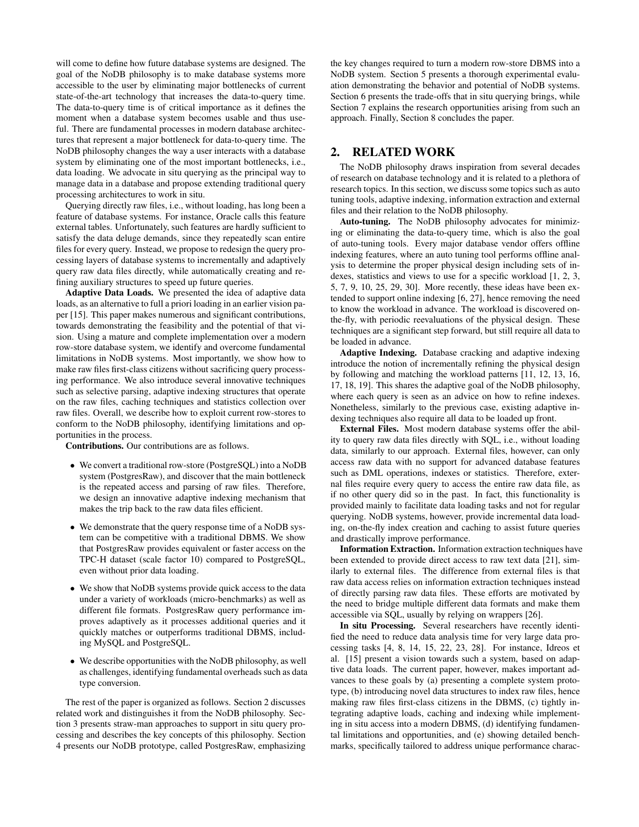will come to define how future database systems are designed. The goal of the NoDB philosophy is to make database systems more accessible to the user by eliminating major bottlenecks of current state-of-the-art technology that increases the data-to-query time. The data-to-query time is of critical importance as it defines the moment when a database system becomes usable and thus useful. There are fundamental processes in modern database architectures that represent a major bottleneck for data-to-query time. The NoDB philosophy changes the way a user interacts with a database system by eliminating one of the most important bottlenecks, i.e., data loading. We advocate in situ querying as the principal way to manage data in a database and propose extending traditional query processing architectures to work in situ.

Querying directly raw files, i.e., without loading, has long been a feature of database systems. For instance, Oracle calls this feature external tables. Unfortunately, such features are hardly sufficient to satisfy the data deluge demands, since they repeatedly scan entire files for every query. Instead, we propose to redesign the query processing layers of database systems to incrementally and adaptively query raw data files directly, while automatically creating and refining auxiliary structures to speed up future queries.

Adaptive Data Loads. We presented the idea of adaptive data loads, as an alternative to full a priori loading in an earlier vision paper [15]. This paper makes numerous and significant contributions, towards demonstrating the feasibility and the potential of that vision. Using a mature and complete implementation over a modern row-store database system, we identify and overcome fundamental limitations in NoDB systems. Most importantly, we show how to make raw files first-class citizens without sacrificing query processing performance. We also introduce several innovative techniques such as selective parsing, adaptive indexing structures that operate on the raw files, caching techniques and statistics collection over raw files. Overall, we describe how to exploit current row-stores to conform to the NoDB philosophy, identifying limitations and opportunities in the process.

Contributions. Our contributions are as follows.

- *•* We convert a traditional row-store (PostgreSQL) into a NoDB system (PostgresRaw), and discover that the main bottleneck is the repeated access and parsing of raw files. Therefore, we design an innovative adaptive indexing mechanism that makes the trip back to the raw data files efficient.
- *•* We demonstrate that the query response time of a NoDB system can be competitive with a traditional DBMS. We show that PostgresRaw provides equivalent or faster access on the TPC-H dataset (scale factor 10) compared to PostgreSQL, even without prior data loading.
- *•* We show that NoDB systems provide quick access to the data under a variety of workloads (micro-benchmarks) as well as different file formats. PostgresRaw query performance improves adaptively as it processes additional queries and it quickly matches or outperforms traditional DBMS, including MySQL and PostgreSQL.
- *•* We describe opportunities with the NoDB philosophy, as well as challenges, identifying fundamental overheads such as data type conversion.

The rest of the paper is organized as follows. Section 2 discusses related work and distinguishes it from the NoDB philosophy. Section 3 presents straw-man approaches to support in situ query processing and describes the key concepts of this philosophy. Section 4 presents our NoDB prototype, called PostgresRaw, emphasizing the key changes required to turn a modern row-store DBMS into a NoDB system. Section 5 presents a thorough experimental evaluation demonstrating the behavior and potential of NoDB systems. Section 6 presents the trade-offs that in situ querying brings, while Section 7 explains the research opportunities arising from such an approach. Finally, Section 8 concludes the paper.

# 2. RELATED WORK

The NoDB philosophy draws inspiration from several decades of research on database technology and it is related to a plethora of research topics. In this section, we discuss some topics such as auto tuning tools, adaptive indexing, information extraction and external files and their relation to the NoDB philosophy.

Auto-tuning. The NoDB philosophy advocates for minimizing or eliminating the data-to-query time, which is also the goal of auto-tuning tools. Every major database vendor offers offline indexing features, where an auto tuning tool performs offline analysis to determine the proper physical design including sets of indexes, statistics and views to use for a specific workload [1, 2, 3, 5, 7, 9, 10, 25, 29, 30]. More recently, these ideas have been extended to support online indexing [6, 27], hence removing the need to know the workload in advance. The workload is discovered onthe-fly, with periodic reevaluations of the physical design. These techniques are a significant step forward, but still require all data to be loaded in advance.

Adaptive Indexing. Database cracking and adaptive indexing introduce the notion of incrementally refining the physical design by following and matching the workload patterns [11, 12, 13, 16, 17, 18, 19]. This shares the adaptive goal of the NoDB philosophy, where each query is seen as an advice on how to refine indexes. Nonetheless, similarly to the previous case, existing adaptive indexing techniques also require all data to be loaded up front.

External Files. Most modern database systems offer the ability to query raw data files directly with SQL, i.e., without loading data, similarly to our approach. External files, however, can only access raw data with no support for advanced database features such as DML operations, indexes or statistics. Therefore, external files require every query to access the entire raw data file, as if no other query did so in the past. In fact, this functionality is provided mainly to facilitate data loading tasks and not for regular querying. NoDB systems, however, provide incremental data loading, on-the-fly index creation and caching to assist future queries and drastically improve performance.

Information Extraction. Information extraction techniques have been extended to provide direct access to raw text data [21], similarly to external files. The difference from external files is that raw data access relies on information extraction techniques instead of directly parsing raw data files. These efforts are motivated by the need to bridge multiple different data formats and make them accessible via SQL, usually by relying on wrappers [26].

In situ Processing. Several researchers have recently identified the need to reduce data analysis time for very large data processing tasks [4, 8, 14, 15, 22, 23, 28]. For instance, Idreos et al. [15] present a vision towards such a system, based on adaptive data loads. The current paper, however, makes important advances to these goals by (a) presenting a complete system prototype, (b) introducing novel data structures to index raw files, hence making raw files first-class citizens in the DBMS, (c) tightly integrating adaptive loads, caching and indexing while implementing in situ access into a modern DBMS, (d) identifying fundamental limitations and opportunities, and (e) showing detailed benchmarks, specifically tailored to address unique performance charac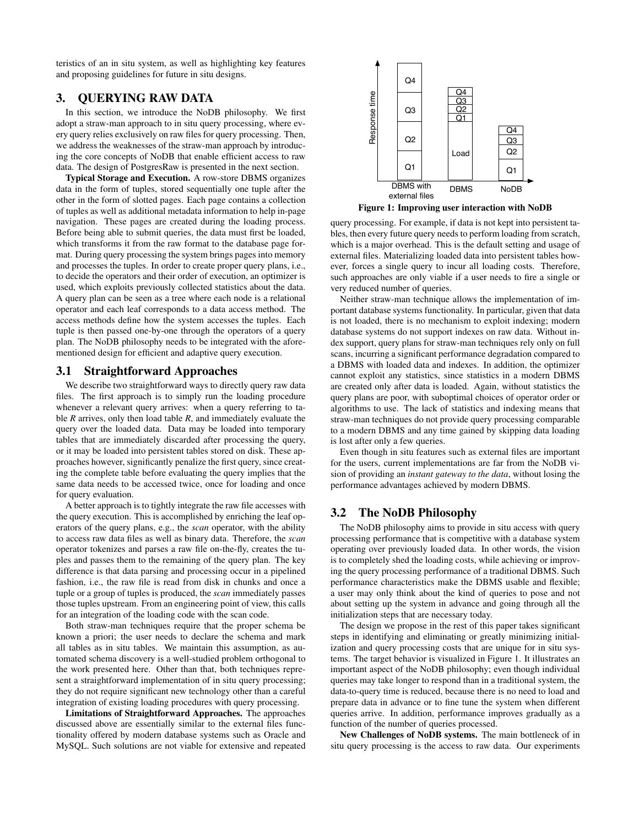teristics of an in situ system, as well as highlighting key features and proposing guidelines for future in situ designs.

# 3. QUERYING RAW DATA

In this section, we introduce the NoDB philosophy. We first adopt a straw-man approach to in situ query processing, where every query relies exclusively on raw files for query processing. Then, we address the weaknesses of the straw-man approach by introducing the core concepts of NoDB that enable efficient access to raw data. The design of PostgresRaw is presented in the next section.

Typical Storage and Execution. A row-store DBMS organizes data in the form of tuples, stored sequentially one tuple after the other in the form of slotted pages. Each page contains a collection of tuples as well as additional metadata information to help in-page navigation. These pages are created during the loading process. Before being able to submit queries, the data must first be loaded, which transforms it from the raw format to the database page format. During query processing the system brings pages into memory and processes the tuples. In order to create proper query plans, i.e., to decide the operators and their order of execution, an optimizer is used, which exploits previously collected statistics about the data. A query plan can be seen as a tree where each node is a relational operator and each leaf corresponds to a data access method. The access methods define how the system accesses the tuples. Each tuple is then passed one-by-one through the operators of a query plan. The NoDB philosophy needs to be integrated with the aforementioned design for efficient and adaptive query execution.

#### 3.1 Straightforward Approaches

We describe two straightforward ways to directly query raw data files. The first approach is to simply run the loading procedure whenever a relevant query arrives: when a query referring to table *R* arrives, only then load table *R*, and immediately evaluate the query over the loaded data. Data may be loaded into temporary tables that are immediately discarded after processing the query, or it may be loaded into persistent tables stored on disk. These approaches however, significantly penalize the first query, since creating the complete table before evaluating the query implies that the same data needs to be accessed twice, once for loading and once for query evaluation.

A better approach is to tightly integrate the raw file accesses with the query execution. This is accomplished by enriching the leaf operators of the query plans, e.g., the *scan* operator, with the ability to access raw data files as well as binary data. Therefore, the *scan* operator tokenizes and parses a raw file on-the-fly, creates the tuples and passes them to the remaining of the query plan. The key difference is that data parsing and processing occur in a pipelined fashion, i.e., the raw file is read from disk in chunks and once a tuple or a group of tuples is produced, the *scan* immediately passes those tuples upstream. From an engineering point of view, this calls for an integration of the loading code with the scan code.

Both straw-man techniques require that the proper schema be known a priori; the user needs to declare the schema and mark all tables as in situ tables. We maintain this assumption, as automated schema discovery is a well-studied problem orthogonal to the work presented here. Other than that, both techniques represent a straightforward implementation of in situ query processing; they do not require significant new technology other than a careful integration of existing loading procedures with query processing.

Limitations of Straightforward Approaches. The approaches discussed above are essentially similar to the external files functionality offered by modern database systems such as Oracle and MySQL. Such solutions are not viable for extensive and repeated



Figure 1: Improving user interaction with NoDB

query processing. For example, if data is not kept into persistent tables, then every future query needs to perform loading from scratch, which is a major overhead. This is the default setting and usage of external files. Materializing loaded data into persistent tables however, forces a single query to incur all loading costs. Therefore, such approaches are only viable if a user needs to fire a single or very reduced number of queries.

Neither straw-man technique allows the implementation of important database systems functionality. In particular, given that data is not loaded, there is no mechanism to exploit indexing; modern database systems do not support indexes on raw data. Without index support, query plans for straw-man techniques rely only on full scans, incurring a significant performance degradation compared to a DBMS with loaded data and indexes. In addition, the optimizer cannot exploit any statistics, since statistics in a modern DBMS are created only after data is loaded. Again, without statistics the query plans are poor, with suboptimal choices of operator order or algorithms to use. The lack of statistics and indexing means that straw-man techniques do not provide query processing comparable to a modern DBMS and any time gained by skipping data loading is lost after only a few queries.

Even though in situ features such as external files are important for the users, current implementations are far from the NoDB vision of providing an *instant gateway to the data*, without losing the performance advantages achieved by modern DBMS.

#### 3.2 The NoDB Philosophy

The NoDB philosophy aims to provide in situ access with query processing performance that is competitive with a database system operating over previously loaded data. In other words, the vision is to completely shed the loading costs, while achieving or improving the query processing performance of a traditional DBMS. Such performance characteristics make the DBMS usable and flexible; a user may only think about the kind of queries to pose and not about setting up the system in advance and going through all the initialization steps that are necessary today.

The design we propose in the rest of this paper takes significant steps in identifying and eliminating or greatly minimizing initialization and query processing costs that are unique for in situ systems. The target behavior is visualized in Figure 1. It illustrates an important aspect of the NoDB philosophy; even though individual queries may take longer to respond than in a traditional system, the data-to-query time is reduced, because there is no need to load and prepare data in advance or to fine tune the system when different queries arrive. In addition, performance improves gradually as a function of the number of queries processed.

New Challenges of NoDB systems. The main bottleneck of in situ query processing is the access to raw data. Our experiments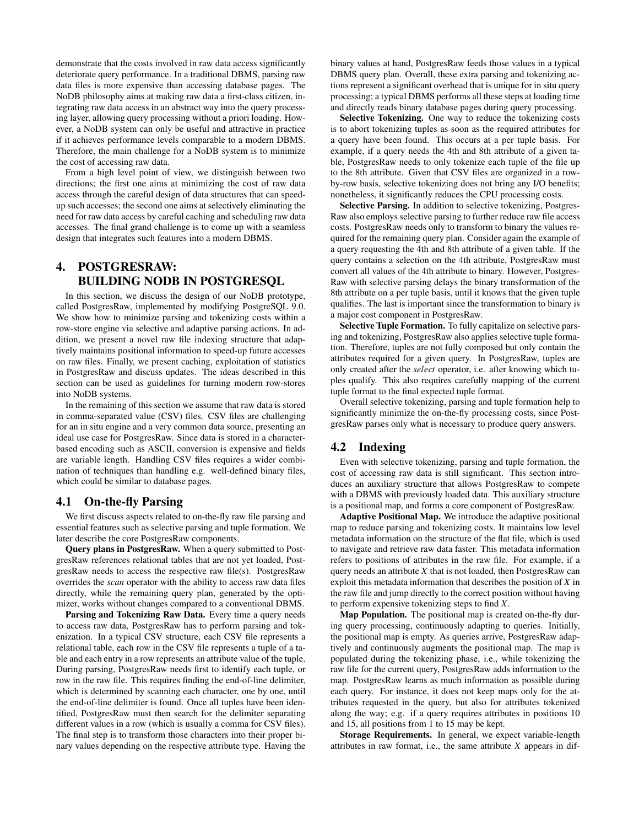demonstrate that the costs involved in raw data access significantly deteriorate query performance. In a traditional DBMS, parsing raw data files is more expensive than accessing database pages. The NoDB philosophy aims at making raw data a first-class citizen, integrating raw data access in an abstract way into the query processing layer, allowing query processing without a priori loading. However, a NoDB system can only be useful and attractive in practice if it achieves performance levels comparable to a modern DBMS. Therefore, the main challenge for a NoDB system is to minimize the cost of accessing raw data.

From a high level point of view, we distinguish between two directions; the first one aims at minimizing the cost of raw data access through the careful design of data structures that can speedup such accesses; the second one aims at selectively eliminating the need for raw data access by careful caching and scheduling raw data accesses. The final grand challenge is to come up with a seamless design that integrates such features into a modern DBMS.

# 4. POSTGRESRAW: BUILDING NODB IN POSTGRESQL

In this section, we discuss the design of our NoDB prototype, called PostgresRaw, implemented by modifying PostgreSQL 9.0. We show how to minimize parsing and tokenizing costs within a row-store engine via selective and adaptive parsing actions. In addition, we present a novel raw file indexing structure that adaptively maintains positional information to speed-up future accesses on raw files. Finally, we present caching, exploitation of statistics in PostgresRaw and discuss updates. The ideas described in this section can be used as guidelines for turning modern row-stores into NoDB systems.

In the remaining of this section we assume that raw data is stored in comma-separated value (CSV) files. CSV files are challenging for an in situ engine and a very common data source, presenting an ideal use case for PostgresRaw. Since data is stored in a characterbased encoding such as ASCII, conversion is expensive and fields are variable length. Handling CSV files requires a wider combination of techniques than handling e.g. well-defined binary files, which could be similar to database pages.

#### 4.1 On-the-fly Parsing

We first discuss aspects related to on-the-fly raw file parsing and essential features such as selective parsing and tuple formation. We later describe the core PostgresRaw components.

Query plans in PostgresRaw. When a query submitted to PostgresRaw references relational tables that are not yet loaded, PostgresRaw needs to access the respective raw file(s). PostgresRaw overrides the *scan* operator with the ability to access raw data files directly, while the remaining query plan, generated by the optimizer, works without changes compared to a conventional DBMS.

Parsing and Tokenizing Raw Data. Every time a query needs to access raw data, PostgresRaw has to perform parsing and tokenization. In a typical CSV structure, each CSV file represents a relational table, each row in the CSV file represents a tuple of a table and each entry in a row represents an attribute value of the tuple. During parsing, PostgresRaw needs first to identify each tuple, or row in the raw file. This requires finding the end-of-line delimiter, which is determined by scanning each character, one by one, until the end-of-line delimiter is found. Once all tuples have been identified, PostgresRaw must then search for the delimiter separating different values in a row (which is usually a comma for CSV files). The final step is to transform those characters into their proper binary values depending on the respective attribute type. Having the binary values at hand, PostgresRaw feeds those values in a typical DBMS query plan. Overall, these extra parsing and tokenizing actions represent a significant overhead that is unique for in situ query processing; a typical DBMS performs all these steps at loading time and directly reads binary database pages during query processing.

Selective Tokenizing. One way to reduce the tokenizing costs is to abort tokenizing tuples as soon as the required attributes for a query have been found. This occurs at a per tuple basis. For example, if a query needs the 4th and 8th attribute of a given table, PostgresRaw needs to only tokenize each tuple of the file up to the 8th attribute. Given that CSV files are organized in a rowby-row basis, selective tokenizing does not bring any I/O benefits; nonetheless, it significantly reduces the CPU processing costs.

Selective Parsing. In addition to selective tokenizing, Postgres-Raw also employs selective parsing to further reduce raw file access costs. PostgresRaw needs only to transform to binary the values required for the remaining query plan. Consider again the example of a query requesting the 4th and 8th attribute of a given table. If the query contains a selection on the 4th attribute, PostgresRaw must convert all values of the 4th attribute to binary. However, Postgres-Raw with selective parsing delays the binary transformation of the 8th attribute on a per tuple basis, until it knows that the given tuple qualifies. The last is important since the transformation to binary is a major cost component in PostgresRaw.

Selective Tuple Formation. To fully capitalize on selective parsing and tokenizing, PostgresRaw also applies selective tuple formation. Therefore, tuples are not fully composed but only contain the attributes required for a given query. In PostgresRaw, tuples are only created after the *select* operator, i.e. after knowing which tuples qualify. This also requires carefully mapping of the current tuple format to the final expected tuple format.

Overall selective tokenizing, parsing and tuple formation help to significantly minimize the on-the-fly processing costs, since PostgresRaw parses only what is necessary to produce query answers.

# 4.2 Indexing

Even with selective tokenizing, parsing and tuple formation, the cost of accessing raw data is still significant. This section introduces an auxiliary structure that allows PostgresRaw to compete with a DBMS with previously loaded data. This auxiliary structure is a positional map, and forms a core component of PostgresRaw.

Adaptive Positional Map. We introduce the adaptive positional map to reduce parsing and tokenizing costs. It maintains low level metadata information on the structure of the flat file, which is used to navigate and retrieve raw data faster. This metadata information refers to positions of attributes in the raw file. For example, if a query needs an attribute *X* that is not loaded, then PostgresRaw can exploit this metadata information that describes the position of *X* in the raw file and jump directly to the correct position without having to perform expensive tokenizing steps to find *X*.

Map Population. The positional map is created on-the-fly during query processing, continuously adapting to queries. Initially, the positional map is empty. As queries arrive, PostgresRaw adaptively and continuously augments the positional map. The map is populated during the tokenizing phase, i.e., while tokenizing the raw file for the current query, PostgresRaw adds information to the map. PostgresRaw learns as much information as possible during each query. For instance, it does not keep maps only for the attributes requested in the query, but also for attributes tokenized along the way; e.g. if a query requires attributes in positions 10 and 15, all positions from 1 to 15 may be kept.

Storage Requirements. In general, we expect variable-length attributes in raw format, i.e., the same attribute *X* appears in dif-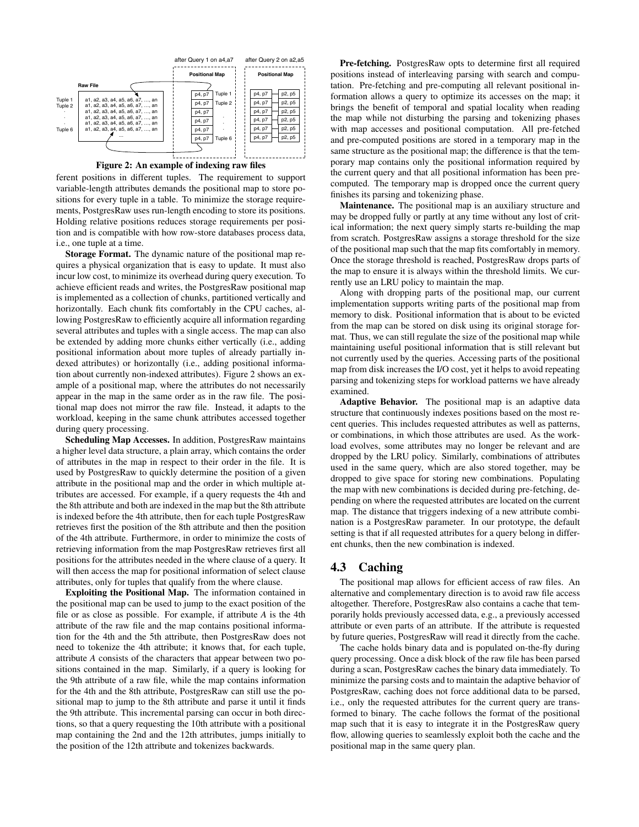



ferent positions in different tuples. The requirement to support variable-length attributes demands the positional map to store positions for every tuple in a table. To minimize the storage requirements, PostgresRaw uses run-length encoding to store its positions. Holding relative positions reduces storage requirements per position and is compatible with how row-store databases process data, i.e., one tuple at a time.

Storage Format. The dynamic nature of the positional map requires a physical organization that is easy to update. It must also incur low cost, to minimize its overhead during query execution. To achieve efficient reads and writes, the PostgresRaw positional map is implemented as a collection of chunks, partitioned vertically and horizontally. Each chunk fits comfortably in the CPU caches, allowing PostgresRaw to efficiently acquire all information regarding several attributes and tuples with a single access. The map can also be extended by adding more chunks either vertically (i.e., adding positional information about more tuples of already partially indexed attributes) or horizontally (i.e., adding positional information about currently non-indexed attributes). Figure 2 shows an example of a positional map, where the attributes do not necessarily appear in the map in the same order as in the raw file. The positional map does not mirror the raw file. Instead, it adapts to the workload, keeping in the same chunk attributes accessed together during query processing.

Scheduling Map Accesses. In addition, PostgresRaw maintains a higher level data structure, a plain array, which contains the order of attributes in the map in respect to their order in the file. It is used by PostgresRaw to quickly determine the position of a given attribute in the positional map and the order in which multiple attributes are accessed. For example, if a query requests the 4th and the 8th attribute and both are indexed in the map but the 8th attribute is indexed before the 4th attribute, then for each tuple PostgresRaw retrieves first the position of the 8th attribute and then the position of the 4th attribute. Furthermore, in order to minimize the costs of retrieving information from the map PostgresRaw retrieves first all positions for the attributes needed in the where clause of a query. It will then access the map for positional information of select clause attributes, only for tuples that qualify from the where clause.

Exploiting the Positional Map. The information contained in the positional map can be used to jump to the exact position of the file or as close as possible. For example, if attribute *A* is the 4th attribute of the raw file and the map contains positional information for the 4th and the 5th attribute, then PostgresRaw does not need to tokenize the 4th attribute; it knows that, for each tuple, attribute *A* consists of the characters that appear between two positions contained in the map. Similarly, if a query is looking for the 9th attribute of a raw file, while the map contains information for the 4th and the 8th attribute, PostgresRaw can still use the positional map to jump to the 8th attribute and parse it until it finds the 9th attribute. This incremental parsing can occur in both directions, so that a query requesting the 10th attribute with a positional map containing the 2nd and the 12th attributes, jumps initially to the position of the 12th attribute and tokenizes backwards.

Pre-fetching. PostgresRaw opts to determine first all required positions instead of interleaving parsing with search and computation. Pre-fetching and pre-computing all relevant positional information allows a query to optimize its accesses on the map; it brings the benefit of temporal and spatial locality when reading the map while not disturbing the parsing and tokenizing phases with map accesses and positional computation. All pre-fetched and pre-computed positions are stored in a temporary map in the same structure as the positional map; the difference is that the temporary map contains only the positional information required by the current query and that all positional information has been precomputed. The temporary map is dropped once the current query finishes its parsing and tokenizing phase.

Maintenance. The positional map is an auxiliary structure and may be dropped fully or partly at any time without any lost of critical information; the next query simply starts re-building the map from scratch. PostgresRaw assigns a storage threshold for the size of the positional map such that the map fits comfortably in memory. Once the storage threshold is reached, PostgresRaw drops parts of the map to ensure it is always within the threshold limits. We currently use an LRU policy to maintain the map.

Along with dropping parts of the positional map, our current implementation supports writing parts of the positional map from memory to disk. Positional information that is about to be evicted from the map can be stored on disk using its original storage format. Thus, we can still regulate the size of the positional map while maintaining useful positional information that is still relevant but not currently used by the queries. Accessing parts of the positional map from disk increases the I/O cost, yet it helps to avoid repeating parsing and tokenizing steps for workload patterns we have already examined.

Adaptive Behavior. The positional map is an adaptive data structure that continuously indexes positions based on the most recent queries. This includes requested attributes as well as patterns, or combinations, in which those attributes are used. As the workload evolves, some attributes may no longer be relevant and are dropped by the LRU policy. Similarly, combinations of attributes used in the same query, which are also stored together, may be dropped to give space for storing new combinations. Populating the map with new combinations is decided during pre-fetching, depending on where the requested attributes are located on the current map. The distance that triggers indexing of a new attribute combination is a PostgresRaw parameter. In our prototype, the default setting is that if all requested attributes for a query belong in different chunks, then the new combination is indexed.

## 4.3 Caching

The positional map allows for efficient access of raw files. An alternative and complementary direction is to avoid raw file access altogether. Therefore, PostgresRaw also contains a cache that temporarily holds previously accessed data, e.g., a previously accessed attribute or even parts of an attribute. If the attribute is requested by future queries, PostgresRaw will read it directly from the cache.

The cache holds binary data and is populated on-the-fly during query processing. Once a disk block of the raw file has been parsed during a scan, PostgresRaw caches the binary data immediately. To minimize the parsing costs and to maintain the adaptive behavior of PostgresRaw, caching does not force additional data to be parsed, i.e., only the requested attributes for the current query are transformed to binary. The cache follows the format of the positional map such that it is easy to integrate it in the PostgresRaw query flow, allowing queries to seamlessly exploit both the cache and the positional map in the same query plan.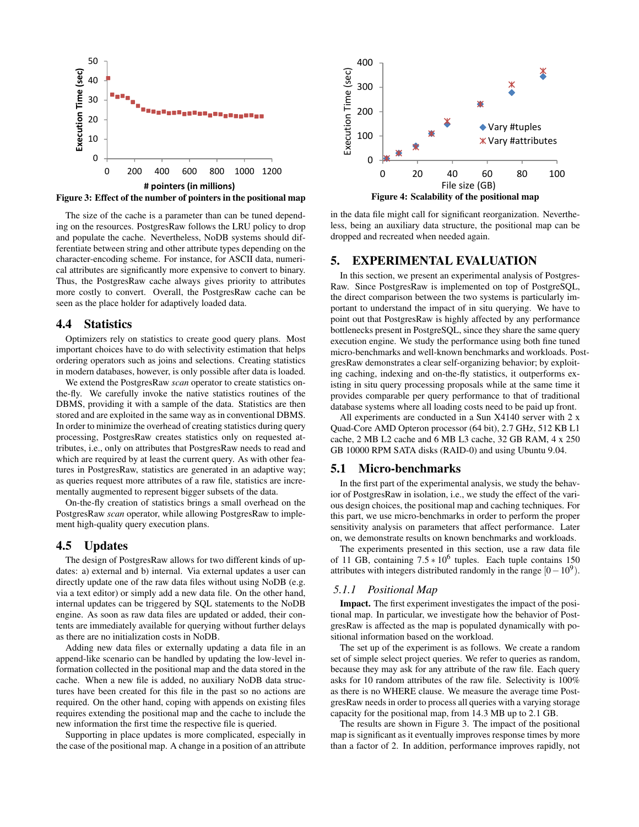

Figure 3: Effect of the number of pointers in the positional map

The size of the cache is a parameter than can be tuned depending on the resources. PostgresRaw follows the LRU policy to drop and populate the cache. Nevertheless, NoDB systems should differentiate between string and other attribute types depending on the character-encoding scheme. For instance, for ASCII data, numerical attributes are significantly more expensive to convert to binary. Thus, the PostgresRaw cache always gives priority to attributes more costly to convert. Overall, the PostgresRaw cache can be seen as the place holder for adaptively loaded data.

#### 4.4 Statistics

Optimizers rely on statistics to create good query plans. Most important choices have to do with selectivity estimation that helps ordering operators such as joins and selections. Creating statistics in modern databases, however, is only possible after data is loaded.

We extend the PostgresRaw *scan* operator to create statistics onthe-fly. We carefully invoke the native statistics routines of the DBMS, providing it with a sample of the data. Statistics are then stored and are exploited in the same way as in conventional DBMS. In order to minimize the overhead of creating statistics during query processing, PostgresRaw creates statistics only on requested attributes, i.e., only on attributes that PostgresRaw needs to read and which are required by at least the current query. As with other features in PostgresRaw, statistics are generated in an adaptive way; as queries request more attributes of a raw file, statistics are incrementally augmented to represent bigger subsets of the data.

On-the-fly creation of statistics brings a small overhead on the PostgresRaw *scan* operator, while allowing PostgresRaw to implement high-quality query execution plans.

## 4.5 Updates

The design of PostgresRaw allows for two different kinds of updates: a) external and b) internal. Via external updates a user can directly update one of the raw data files without using NoDB (e.g. via a text editor) or simply add a new data file. On the other hand, internal updates can be triggered by SQL statements to the NoDB engine. As soon as raw data files are updated or added, their contents are immediately available for querying without further delays as there are no initialization costs in NoDB.

Adding new data files or externally updating a data file in an append-like scenario can be handled by updating the low-level information collected in the positional map and the data stored in the cache. When a new file is added, no auxiliary NoDB data structures have been created for this file in the past so no actions are required. On the other hand, coping with appends on existing files requires extending the positional map and the cache to include the new information the first time the respective file is queried.

Supporting in place updates is more complicated, especially in the case of the positional map. A change in a position of an attribute



in the data file might call for significant reorganization. Nevertheless, being an auxiliary data structure, the positional map can be dropped and recreated when needed again.

#### 5. EXPERIMENTAL EVALUATION

In this section, we present an experimental analysis of Postgres-Raw. Since PostgresRaw is implemented on top of PostgreSQL, the direct comparison between the two systems is particularly important to understand the impact of in situ querying. We have to point out that PostgresRaw is highly affected by any performance bottlenecks present in PostgreSQL, since they share the same query execution engine. We study the performance using both fine tuned micro-benchmarks and well-known benchmarks and workloads. PostgresRaw demonstrates a clear self-organizing behavior; by exploiting caching, indexing and on-the-fly statistics, it outperforms existing in situ query processing proposals while at the same time it provides comparable per query performance to that of traditional database systems where all loading costs need to be paid up front.

All experiments are conducted in a Sun X4140 server with 2 x Quad-Core AMD Opteron processor (64 bit), 2*.*7 GHz, 512 KB L1 cache, 2 MB L2 cache and 6 MB L3 cache, 32 GB RAM, 4 x 250 GB 10000 RPM SATA disks (RAID-0) and using Ubuntu 9*.*04.

#### 5.1 Micro-benchmarks

In the first part of the experimental analysis, we study the behavior of PostgresRaw in isolation, i.e., we study the effect of the various design choices, the positional map and caching techniques. For this part, we use micro-benchmarks in order to perform the proper sensitivity analysis on parameters that affect performance. Later on, we demonstrate results on known benchmarks and workloads.

The experiments presented in this section, use a raw data file of 11 GB, containing  $7.5 * 10^6$  tuples. Each tuple contains 150 attributes with integers distributed randomly in the range  $[0-10^9)$ .

#### *5.1.1 Positional Map*

Impact. The first experiment investigates the impact of the positional map. In particular, we investigate how the behavior of PostgresRaw is affected as the map is populated dynamically with positional information based on the workload.

The set up of the experiment is as follows. We create a random set of simple select project queries. We refer to queries as random, because they may ask for any attribute of the raw file. Each query asks for 10 random attributes of the raw file. Selectivity is 100% as there is no WHERE clause. We measure the average time PostgresRaw needs in order to process all queries with a varying storage capacity for the positional map, from 14*.*3 MB up to 2*.*1 GB.

The results are shown in Figure 3. The impact of the positional map is significant as it eventually improves response times by more than a factor of 2. In addition, performance improves rapidly, not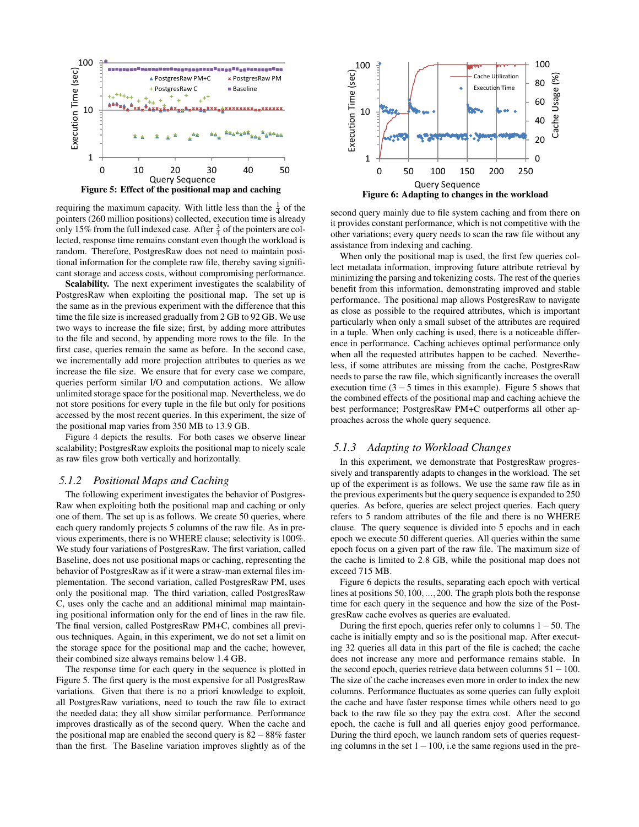

requiring the maximum capacity. With little less than the  $\frac{1}{4}$  of the pointers (260 million positions) collected, execution time is already only 15% from the full indexed case. After  $\frac{3}{4}$  of the pointers are collected, response time remains constant even though the workload is random. Therefore, PostgresRaw does not need to maintain positional information for the complete raw file, thereby saving significant storage and access costs, without compromising performance.

Scalability. The next experiment investigates the scalability of PostgresRaw when exploiting the positional map. The set up is the same as in the previous experiment with the difference that this time the file size is increased gradually from 2 GB to 92 GB. We use two ways to increase the file size; first, by adding more attributes to the file and second, by appending more rows to the file. In the first case, queries remain the same as before. In the second case, we incrementally add more projection attributes to queries as we increase the file size. We ensure that for every case we compare, queries perform similar I/O and computation actions. We allow unlimited storage space for the positional map. Nevertheless, we do not store positions for every tuple in the file but only for positions accessed by the most recent queries. In this experiment, the size of the positional map varies from 350 MB to 13*.*9 GB.

Figure 4 depicts the results. For both cases we observe linear scalability; PostgresRaw exploits the positional map to nicely scale as raw files grow both vertically and horizontally.

#### *5.1.2 Positional Maps and Caching*

The following experiment investigates the behavior of Postgres-Raw when exploiting both the positional map and caching or only one of them. The set up is as follows. We create 50 queries, where each query randomly projects 5 columns of the raw file. As in previous experiments, there is no WHERE clause; selectivity is 100%. We study four variations of PostgresRaw. The first variation, called Baseline, does not use positional maps or caching, representing the behavior of PostgresRaw as if it were a straw-man external files implementation. The second variation, called PostgresRaw PM, uses only the positional map. The third variation, called PostgresRaw C, uses only the cache and an additional minimal map maintaining positional information only for the end of lines in the raw file. The final version, called PostgresRaw PM+C, combines all previous techniques. Again, in this experiment, we do not set a limit on the storage space for the positional map and the cache; however, their combined size always remains below 1*.*4 GB.

The response time for each query in the sequence is plotted in Figure 5. The first query is the most expensive for all PostgresRaw variations. Given that there is no a priori knowledge to exploit, all PostgresRaw variations, need to touch the raw file to extract the needed data; they all show similar performance. Performance improves drastically as of the second query. When the cache and the positional map are enabled the second query is  $82-88\%$  faster than the first. The Baseline variation improves slightly as of the



second query mainly due to file system caching and from there on it provides constant performance, which is not competitive with the other variations; every query needs to scan the raw file without any assistance from indexing and caching.

When only the positional map is used, the first few queries collect metadata information, improving future attribute retrieval by minimizing the parsing and tokenizing costs. The rest of the queries benefit from this information, demonstrating improved and stable performance. The positional map allows PostgresRaw to navigate as close as possible to the required attributes, which is important particularly when only a small subset of the attributes are required in a tuple. When only caching is used, there is a noticeable difference in performance. Caching achieves optimal performance only when all the requested attributes happen to be cached. Nevertheless, if some attributes are missing from the cache, PostgresRaw needs to parse the raw file, which significantly increases the overall execution time  $(3 - 5)$  times in this example). Figure 5 shows that the combined effects of the positional map and caching achieve the best performance; PostgresRaw PM+C outperforms all other approaches across the whole query sequence.

#### *5.1.3 Adapting to Workload Changes*

In this experiment, we demonstrate that PostgresRaw progressively and transparently adapts to changes in the workload. The set up of the experiment is as follows. We use the same raw file as in the previous experiments but the query sequence is expanded to 250 queries. As before, queries are select project queries. Each query refers to 5 random attributes of the file and there is no WHERE clause. The query sequence is divided into 5 epochs and in each epoch we execute 50 different queries. All queries within the same epoch focus on a given part of the raw file. The maximum size of the cache is limited to 2*.*8 GB, while the positional map does not exceed 715 MB.

Figure 6 depicts the results, separating each epoch with vertical lines at positions 50*,*100*,...,*200. The graph plots both the response time for each query in the sequence and how the size of the PostgresRaw cache evolves as queries are evaluated.

During the first epoch, queries refer only to columns  $1-50$ . The cache is initially empty and so is the positional map. After executing 32 queries all data in this part of the file is cached; the cache does not increase any more and performance remains stable. In the second epoch, queries retrieve data between columns  $51 - 100$ . The size of the cache increases even more in order to index the new columns. Performance fluctuates as some queries can fully exploit the cache and have faster response times while others need to go back to the raw file so they pay the extra cost. After the second epoch, the cache is full and all queries enjoy good performance. During the third epoch, we launch random sets of queries requesting columns in the set  $1-100$ , i.e the same regions used in the pre-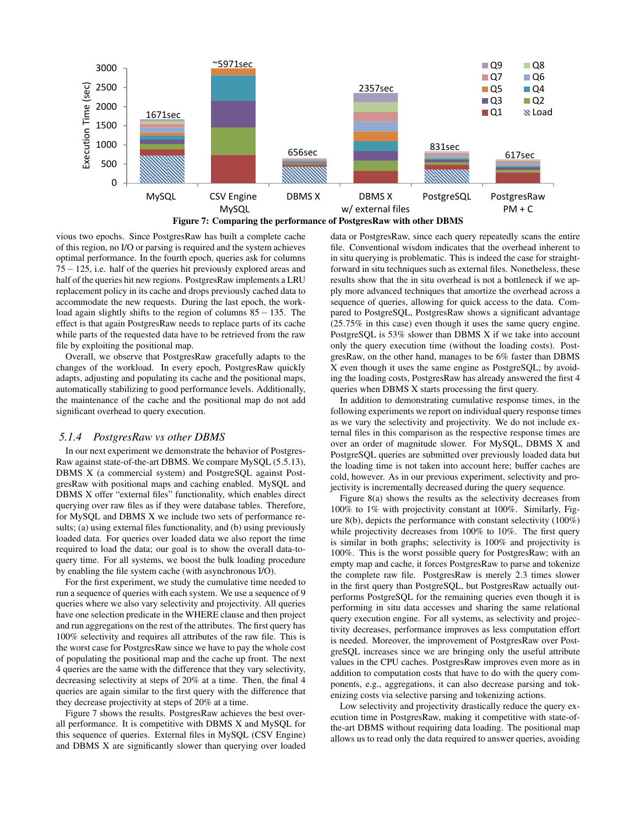

vious two epochs. Since PostgresRaw has built a complete cache of this region, no I/O or parsing is required and the system achieves optimal performance. In the fourth epoch, queries ask for columns  $75-125$ , i.e. half of the queries hit previously explored areas and half of the queries hit new regions. PostgresRaw implements a LRU replacement policy in its cache and drops previously cached data to accommodate the new requests. During the last epoch, the workload again slightly shifts to the region of columns  $85 - 135$ . The effect is that again PostgresRaw needs to replace parts of its cache while parts of the requested data have to be retrieved from the raw file by exploiting the positional map.

Overall, we observe that PostgresRaw gracefully adapts to the changes of the workload. In every epoch, PostgresRaw quickly adapts, adjusting and populating its cache and the positional maps, automatically stabilizing to good performance levels. Additionally, the maintenance of the cache and the positional map do not add significant overhead to query execution.

#### *5.1.4 PostgresRaw vs other DBMS*

In our next experiment we demonstrate the behavior of Postgres-Raw against state-of-the-art DBMS. We compare MySQL (5*.*5*.*13), DBMS X (a commercial system) and PostgreSQL against PostgresRaw with positional maps and caching enabled. MySQL and DBMS X offer "external files" functionality, which enables direct querying over raw files as if they were database tables. Therefore, for MySQL and DBMS X we include two sets of performance results; (a) using external files functionality, and (b) using previously loaded data. For queries over loaded data we also report the time required to load the data; our goal is to show the overall data-toquery time. For all systems, we boost the bulk loading procedure by enabling the file system cache (with asynchronous I/O).

For the first experiment, we study the cumulative time needed to run a sequence of queries with each system. We use a sequence of 9 queries where we also vary selectivity and projectivity. All queries have one selection predicate in the WHERE clause and then project and run aggregations on the rest of the attributes. The first query has 100% selectivity and requires all attributes of the raw file. This is the worst case for PostgresRaw since we have to pay the whole cost of populating the positional map and the cache up front. The next 4 queries are the same with the difference that they vary selectivity, decreasing selectivity at steps of 20% at a time. Then, the final 4 queries are again similar to the first query with the difference that they decrease projectivity at steps of 20% at a time.

Figure 7 shows the results. PostgresRaw achieves the best overall performance. It is competitive with DBMS X and MySQL for this sequence of queries. External files in MySQL (CSV Engine) and DBMS X are significantly slower than querying over loaded

data or PostgresRaw, since each query repeatedly scans the entire file. Conventional wisdom indicates that the overhead inherent to in situ querying is problematic. This is indeed the case for straightforward in situ techniques such as external files. Nonetheless, these results show that the in situ overhead is not a bottleneck if we apply more advanced techniques that amortize the overhead across a sequence of queries, allowing for quick access to the data. Compared to PostgreSQL, PostgresRaw shows a significant advantage (25*.*75% in this case) even though it uses the same query engine. PostgreSQL is 53% slower than DBMS X if we take into account only the query execution time (without the loading costs). PostgresRaw, on the other hand, manages to be 6% faster than DBMS X even though it uses the same engine as PostgreSQL; by avoiding the loading costs, PostgresRaw has already answered the first 4 queries when DBMS X starts processing the first query.

In addition to demonstrating cumulative response times, in the following experiments we report on individual query response times as we vary the selectivity and projectivity. We do not include external files in this comparison as the respective response times are over an order of magnitude slower. For MySQL, DBMS X and PostgreSQL queries are submitted over previously loaded data but the loading time is not taken into account here; buffer caches are cold, however. As in our previous experiment, selectivity and projectivity is incrementally decreased during the query sequence.

Figure 8(a) shows the results as the selectivity decreases from 100% to 1% with projectivity constant at 100%. Similarly, Figure 8(b), depicts the performance with constant selectivity (100%) while projectivity decreases from 100% to 10%. The first query is similar in both graphs; selectivity is 100% and projectivity is 100%. This is the worst possible query for PostgresRaw; with an empty map and cache, it forces PostgresRaw to parse and tokenize the complete raw file. PostgresRaw is merely 2*.*3 times slower in the first query than PostgreSQL, but PostgresRaw actually outperforms PostgreSQL for the remaining queries even though it is performing in situ data accesses and sharing the same relational query execution engine. For all systems, as selectivity and projectivity decreases, performance improves as less computation effort is needed. Moreover, the improvement of PostgresRaw over PostgreSQL increases since we are bringing only the useful attribute values in the CPU caches. PostgresRaw improves even more as in addition to computation costs that have to do with the query components, e.g., aggregations, it can also decrease parsing and tokenizing costs via selective parsing and tokenizing actions.

Low selectivity and projectivity drastically reduce the query execution time in PostgresRaw, making it competitive with state-ofthe-art DBMS without requiring data loading. The positional map allows us to read only the data required to answer queries, avoiding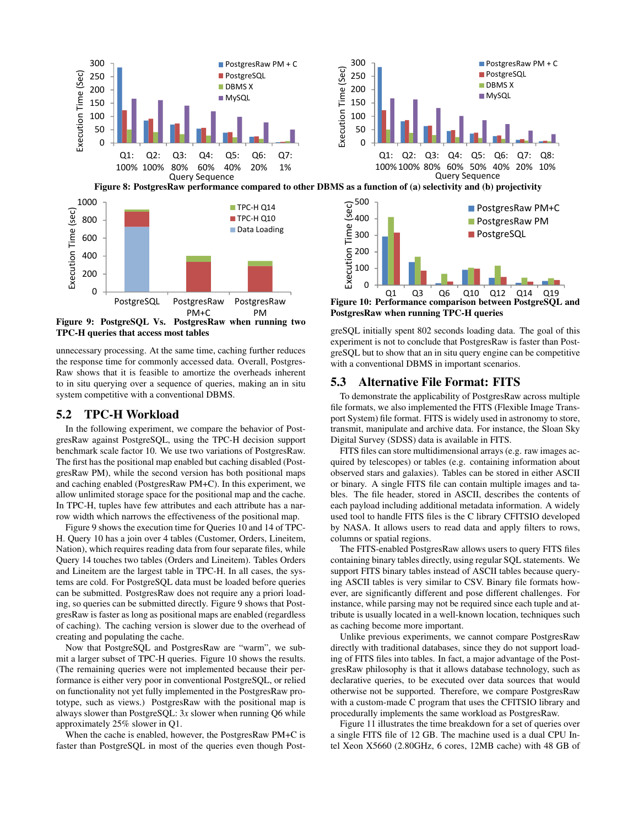

unnecessary processing. At the same time, caching further reduces the response time for commonly accessed data. Overall, Postgres-Raw shows that it is feasible to amortize the overheads inherent to in situ querying over a sequence of queries, making an in situ system competitive with a conventional DBMS.

### 5.2 TPC-H Workload

In the following experiment, we compare the behavior of PostgresRaw against PostgreSQL, using the TPC-H decision support benchmark scale factor 10. We use two variations of PostgresRaw. The first has the positional map enabled but caching disabled (PostgresRaw PM), while the second version has both positional maps and caching enabled (PostgresRaw PM+C). In this experiment, we allow unlimited storage space for the positional map and the cache. In TPC-H, tuples have few attributes and each attribute has a narrow width which narrows the effectiveness of the positional map.

Figure 9 shows the execution time for Queries 10 and 14 of TPC-H. Query 10 has a join over 4 tables (Customer, Orders, Lineitem, Nation), which requires reading data from four separate files, while Query 14 touches two tables (Orders and Lineitem). Tables Orders and Lineitem are the largest table in TPC-H. In all cases, the systems are cold. For PostgreSQL data must be loaded before queries can be submitted. PostgresRaw does not require any a priori loading, so queries can be submitted directly. Figure 9 shows that PostgresRaw is faster as long as positional maps are enabled (regardless of caching). The caching version is slower due to the overhead of creating and populating the cache.

Now that PostgreSQL and PostgresRaw are "warm", we submit a larger subset of TPC-H queries. Figure 10 shows the results. (The remaining queries were not implemented because their performance is either very poor in conventional PostgreSQL, or relied on functionality not yet fully implemented in the PostgresRaw prototype, such as views.) PostgresRaw with the positional map is always slower than PostgreSQL: 3*x* slower when running Q6 while approximately 25% slower in Q1.

When the cache is enabled, however, the PostgresRaw PM+C is faster than PostgreSQL in most of the queries even though PostgreSQL initially spent 802 seconds loading data. The goal of this experiment is not to conclude that PostgresRaw is faster than PostgreSQL but to show that an in situ query engine can be competitive with a conventional DBMS in important scenarios.

#### 5.3 Alternative File Format: FITS

To demonstrate the applicability of PostgresRaw across multiple file formats, we also implemented the FITS (Flexible Image Transport System) file format. FITS is widely used in astronomy to store, transmit, manipulate and archive data. For instance, the Sloan Sky Digital Survey (SDSS) data is available in FITS.

FITS files can store multidimensional arrays (e.g. raw images acquired by telescopes) or tables (e.g. containing information about observed stars and galaxies). Tables can be stored in either ASCII or binary. A single FITS file can contain multiple images and tables. The file header, stored in ASCII, describes the contents of each payload including additional metadata information. A widely used tool to handle FITS files is the C library CFITSIO developed by NASA. It allows users to read data and apply filters to rows, columns or spatial regions.

The FITS-enabled PostgresRaw allows users to query FITS files containing binary tables directly, using regular SQL statements. We support FITS binary tables instead of ASCII tables because querying ASCII tables is very similar to CSV. Binary file formats however, are significantly different and pose different challenges. For instance, while parsing may not be required since each tuple and attribute is usually located in a well-known location, techniques such as caching become more important.

Unlike previous experiments, we cannot compare PostgresRaw directly with traditional databases, since they do not support loading of FITS files into tables. In fact, a major advantage of the PostgresRaw philosophy is that it allows database technology, such as declarative queries, to be executed over data sources that would otherwise not be supported. Therefore, we compare PostgresRaw with a custom-made C program that uses the CFITSIO library and procedurally implements the same workload as PostgresRaw.

Figure 11 illustrates the time breakdown for a set of queries over a single FITS file of 12 GB. The machine used is a dual CPU Intel Xeon X5660 (2.80GHz, 6 cores, 12MB cache) with 48 GB of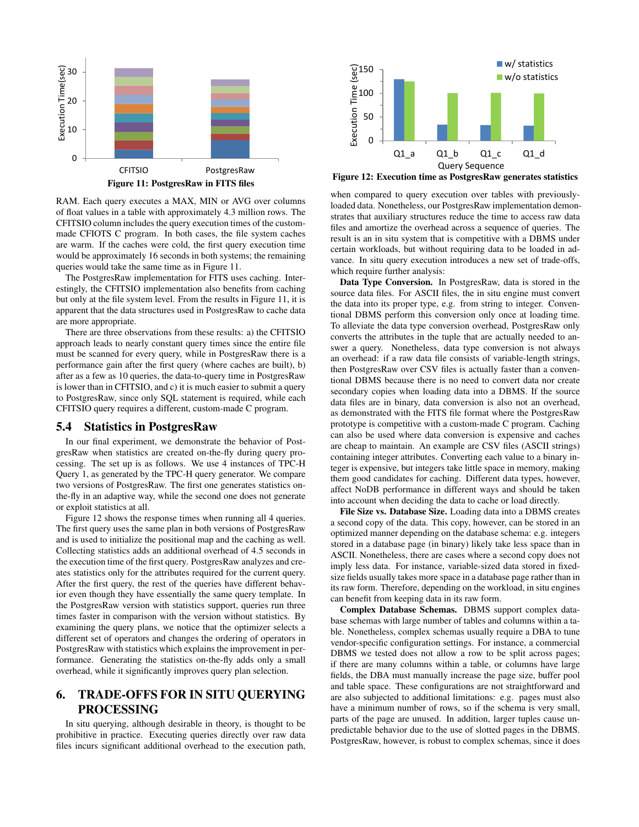

RAM. Each query executes a MAX, MIN or AVG over columns of float values in a table with approximately 4.3 million rows. The CFITSIO column includes the query execution times of the custommade CFIOTS C program. In both cases, the file system caches are warm. If the caches were cold, the first query execution time would be approximately 16 seconds in both systems; the remaining queries would take the same time as in Figure 11.

The PostgresRaw implementation for FITS uses caching. Interestingly, the CFITSIO implementation also benefits from caching but only at the file system level. From the results in Figure 11, it is apparent that the data structures used in PostgresRaw to cache data are more appropriate.

There are three observations from these results: a) the CFITSIO approach leads to nearly constant query times since the entire file must be scanned for every query, while in PostgresRaw there is a performance gain after the first query (where caches are built), b) after as a few as 10 queries, the data-to-query time in PostgresRaw is lower than in CFITSIO, and c) it is much easier to submit a query to PostgresRaw, since only SQL statement is required, while each CFITSIO query requires a different, custom-made C program.

#### 5.4 Statistics in PostgresRaw

In our final experiment, we demonstrate the behavior of PostgresRaw when statistics are created on-the-fly during query processing. The set up is as follows. We use 4 instances of TPC-H Query 1, as generated by the TPC-H query generator. We compare two versions of PostgresRaw. The first one generates statistics onthe-fly in an adaptive way, while the second one does not generate or exploit statistics at all.

Figure 12 shows the response times when running all 4 queries. The first query uses the same plan in both versions of PostgresRaw and is used to initialize the positional map and the caching as well. Collecting statistics adds an additional overhead of 4*.*5 seconds in the execution time of the first query. PostgresRaw analyzes and creates statistics only for the attributes required for the current query. After the first query, the rest of the queries have different behavior even though they have essentially the same query template. In the PostgresRaw version with statistics support, queries run three times faster in comparison with the version without statistics. By examining the query plans, we notice that the optimizer selects a different set of operators and changes the ordering of operators in PostgresRaw with statistics which explains the improvement in performance. Generating the statistics on-the-fly adds only a small overhead, while it significantly improves query plan selection.

# 6. TRADE-OFFS FOR IN SITU QUERYING PROCESSING

In situ querying, although desirable in theory, is thought to be prohibitive in practice. Executing queries directly over raw data files incurs significant additional overhead to the execution path,



Figure 12: Execution time as PostgresRaw generates statistics

when compared to query execution over tables with previouslyloaded data. Nonetheless, our PostgresRaw implementation demonstrates that auxiliary structures reduce the time to access raw data files and amortize the overhead across a sequence of queries. The result is an in situ system that is competitive with a DBMS under certain workloads, but without requiring data to be loaded in advance. In situ query execution introduces a new set of trade-offs, which require further analysis:

Data Type Conversion. In PostgresRaw, data is stored in the source data files. For ASCII files, the in situ engine must convert the data into its proper type, e.g. from string to integer. Conventional DBMS perform this conversion only once at loading time. To alleviate the data type conversion overhead, PostgresRaw only converts the attributes in the tuple that are actually needed to answer a query. Nonetheless, data type conversion is not always an overhead: if a raw data file consists of variable-length strings, then PostgresRaw over CSV files is actually faster than a conventional DBMS because there is no need to convert data nor create secondary copies when loading data into a DBMS. If the source data files are in binary, data conversion is also not an overhead, as demonstrated with the FITS file format where the PostgresRaw prototype is competitive with a custom-made C program. Caching can also be used where data conversion is expensive and caches are cheap to maintain. An example are CSV files (ASCII strings) containing integer attributes. Converting each value to a binary integer is expensive, but integers take little space in memory, making them good candidates for caching. Different data types, however, affect NoDB performance in different ways and should be taken into account when deciding the data to cache or load directly.

File Size vs. Database Size. Loading data into a DBMS creates a second copy of the data. This copy, however, can be stored in an optimized manner depending on the database schema: e.g. integers stored in a database page (in binary) likely take less space than in ASCII. Nonetheless, there are cases where a second copy does not imply less data. For instance, variable-sized data stored in fixedsize fields usually takes more space in a database page rather than in its raw form. Therefore, depending on the workload, in situ engines can benefit from keeping data in its raw form.

Complex Database Schemas. DBMS support complex database schemas with large number of tables and columns within a table. Nonetheless, complex schemas usually require a DBA to tune vendor-specific configuration settings. For instance, a commercial DBMS we tested does not allow a row to be split across pages; if there are many columns within a table, or columns have large fields, the DBA must manually increase the page size, buffer pool and table space. These configurations are not straightforward and are also subjected to additional limitations: e.g. pages must also have a minimum number of rows, so if the schema is very small, parts of the page are unused. In addition, larger tuples cause unpredictable behavior due to the use of slotted pages in the DBMS. PostgresRaw, however, is robust to complex schemas, since it does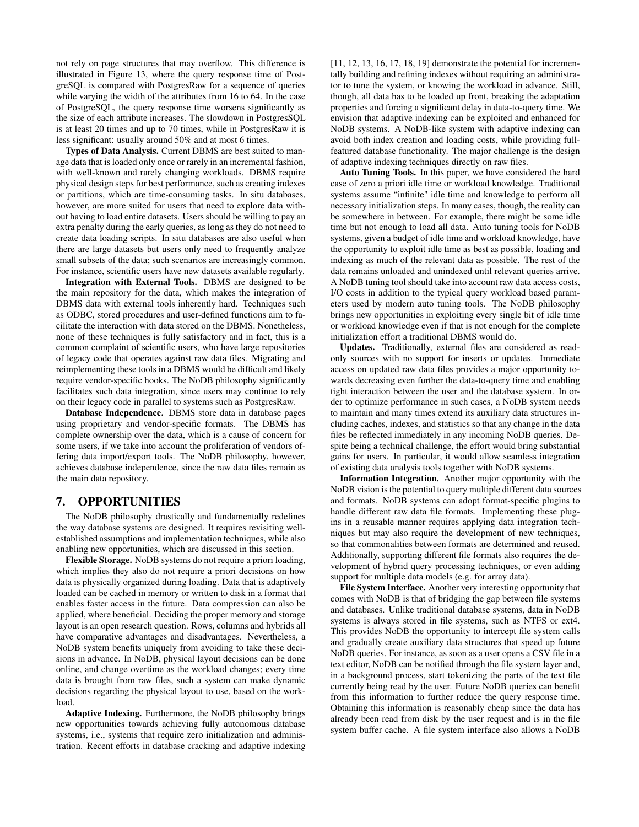not rely on page structures that may overflow. This difference is illustrated in Figure 13, where the query response time of PostgreSQL is compared with PostgresRaw for a sequence of queries while varying the width of the attributes from 16 to 64. In the case of PostgreSQL, the query response time worsens significantly as the size of each attribute increases. The slowdown in PostgresSQL is at least 20 times and up to 70 times, while in PostgresRaw it is less significant: usually around 50% and at most 6 times.

Types of Data Analysis. Current DBMS are best suited to manage data that is loaded only once or rarely in an incremental fashion, with well-known and rarely changing workloads. DBMS require physical design steps for best performance, such as creating indexes or partitions, which are time-consuming tasks. In situ databases, however, are more suited for users that need to explore data without having to load entire datasets. Users should be willing to pay an extra penalty during the early queries, as long as they do not need to create data loading scripts. In situ databases are also useful when there are large datasets but users only need to frequently analyze small subsets of the data; such scenarios are increasingly common. For instance, scientific users have new datasets available regularly.

Integration with External Tools. DBMS are designed to be the main repository for the data, which makes the integration of DBMS data with external tools inherently hard. Techniques such as ODBC, stored procedures and user-defined functions aim to facilitate the interaction with data stored on the DBMS. Nonetheless, none of these techniques is fully satisfactory and in fact, this is a common complaint of scientific users, who have large repositories of legacy code that operates against raw data files. Migrating and reimplementing these tools in a DBMS would be difficult and likely require vendor-specific hooks. The NoDB philosophy significantly facilitates such data integration, since users may continue to rely on their legacy code in parallel to systems such as PostgresRaw.

Database Independence. DBMS store data in database pages using proprietary and vendor-specific formats. The DBMS has complete ownership over the data, which is a cause of concern for some users, if we take into account the proliferation of vendors offering data import/export tools. The NoDB philosophy, however, achieves database independence, since the raw data files remain as the main data repository.

#### 7. OPPORTUNITIES

The NoDB philosophy drastically and fundamentally redefines the way database systems are designed. It requires revisiting wellestablished assumptions and implementation techniques, while also enabling new opportunities, which are discussed in this section.

Flexible Storage. NoDB systems do not require a priori loading, which implies they also do not require a priori decisions on how data is physically organized during loading. Data that is adaptively loaded can be cached in memory or written to disk in a format that enables faster access in the future. Data compression can also be applied, where beneficial. Deciding the proper memory and storage layout is an open research question. Rows, columns and hybrids all have comparative advantages and disadvantages. Nevertheless, a NoDB system benefits uniquely from avoiding to take these decisions in advance. In NoDB, physical layout decisions can be done online, and change overtime as the workload changes; every time data is brought from raw files, such a system can make dynamic decisions regarding the physical layout to use, based on the workload.

Adaptive Indexing. Furthermore, the NoDB philosophy brings new opportunities towards achieving fully autonomous database systems, i.e., systems that require zero initialization and administration. Recent efforts in database cracking and adaptive indexing [11, 12, 13, 16, 17, 18, 19] demonstrate the potential for incrementally building and refining indexes without requiring an administrator to tune the system, or knowing the workload in advance. Still, though, all data has to be loaded up front, breaking the adaptation properties and forcing a significant delay in data-to-query time. We envision that adaptive indexing can be exploited and enhanced for NoDB systems. A NoDB-like system with adaptive indexing can avoid both index creation and loading costs, while providing fullfeatured database functionality. The major challenge is the design of adaptive indexing techniques directly on raw files.

Auto Tuning Tools. In this paper, we have considered the hard case of zero a priori idle time or workload knowledge. Traditional systems assume "infinite" idle time and knowledge to perform all necessary initialization steps. In many cases, though, the reality can be somewhere in between. For example, there might be some idle time but not enough to load all data. Auto tuning tools for NoDB systems, given a budget of idle time and workload knowledge, have the opportunity to exploit idle time as best as possible, loading and indexing as much of the relevant data as possible. The rest of the data remains unloaded and unindexed until relevant queries arrive. A NoDB tuning tool should take into account raw data access costs, I/O costs in addition to the typical query workload based parameters used by modern auto tuning tools. The NoDB philosophy brings new opportunities in exploiting every single bit of idle time or workload knowledge even if that is not enough for the complete initialization effort a traditional DBMS would do.

Updates. Traditionally, external files are considered as readonly sources with no support for inserts or updates. Immediate access on updated raw data files provides a major opportunity towards decreasing even further the data-to-query time and enabling tight interaction between the user and the database system. In order to optimize performance in such cases, a NoDB system needs to maintain and many times extend its auxiliary data structures including caches, indexes, and statistics so that any change in the data files be reflected immediately in any incoming NoDB queries. Despite being a technical challenge, the effort would bring substantial gains for users. In particular, it would allow seamless integration of existing data analysis tools together with NoDB systems.

Information Integration. Another major opportunity with the NoDB vision is the potential to query multiple different data sources and formats. NoDB systems can adopt format-specific plugins to handle different raw data file formats. Implementing these plugins in a reusable manner requires applying data integration techniques but may also require the development of new techniques, so that commonalities between formats are determined and reused. Additionally, supporting different file formats also requires the development of hybrid query processing techniques, or even adding support for multiple data models (e.g. for array data).

File System Interface. Another very interesting opportunity that comes with NoDB is that of bridging the gap between file systems and databases. Unlike traditional database systems, data in NoDB systems is always stored in file systems, such as NTFS or ext4. This provides NoDB the opportunity to intercept file system calls and gradually create auxiliary data structures that speed up future NoDB queries. For instance, as soon as a user opens a CSV file in a text editor, NoDB can be notified through the file system layer and, in a background process, start tokenizing the parts of the text file currently being read by the user. Future NoDB queries can benefit from this information to further reduce the query response time. Obtaining this information is reasonably cheap since the data has already been read from disk by the user request and is in the file system buffer cache. A file system interface also allows a NoDB